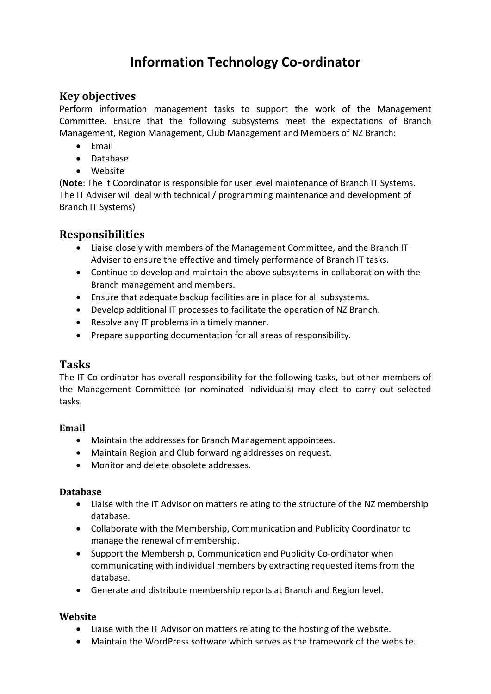# **Information Technology Co-ordinator**

## **Key objectives**

Perform information management tasks to support the work of the Management Committee. Ensure that the following subsystems meet the expectations of Branch Management, Region Management, Club Management and Members of NZ Branch:

- Email
- Database
- Website

(**Note**: The It Coordinator is responsible for user level maintenance of Branch IT Systems. The IT Adviser will deal with technical / programming maintenance and development of Branch IT Systems)

## **Responsibilities**

- Liaise closely with members of the Management Committee, and the Branch IT Adviser to ensure the effective and timely performance of Branch IT tasks.
- Continue to develop and maintain the above subsystems in collaboration with the Branch management and members.
- Ensure that adequate backup facilities are in place for all subsystems.
- Develop additional IT processes to facilitate the operation of NZ Branch.
- Resolve any IT problems in a timely manner.
- Prepare supporting documentation for all areas of responsibility.

### **Tasks**

The IT Co-ordinator has overall responsibility for the following tasks, but other members of the Management Committee (or nominated individuals) may elect to carry out selected tasks.

#### **Email**

- Maintain the addresses for Branch Management appointees.
- Maintain Region and Club forwarding addresses on request.
- Monitor and delete obsolete addresses.

#### **Database**

- Liaise with the IT Advisor on matters relating to the structure of the NZ membership database.
- Collaborate with the Membership, Communication and Publicity Coordinator to manage the renewal of membership.
- Support the Membership, Communication and Publicity Co-ordinator when communicating with individual members by extracting requested items from the database.
- Generate and distribute membership reports at Branch and Region level.

#### **Website**

- Liaise with the IT Advisor on matters relating to the hosting of the website.
- Maintain the WordPress software which serves as the framework of the website.